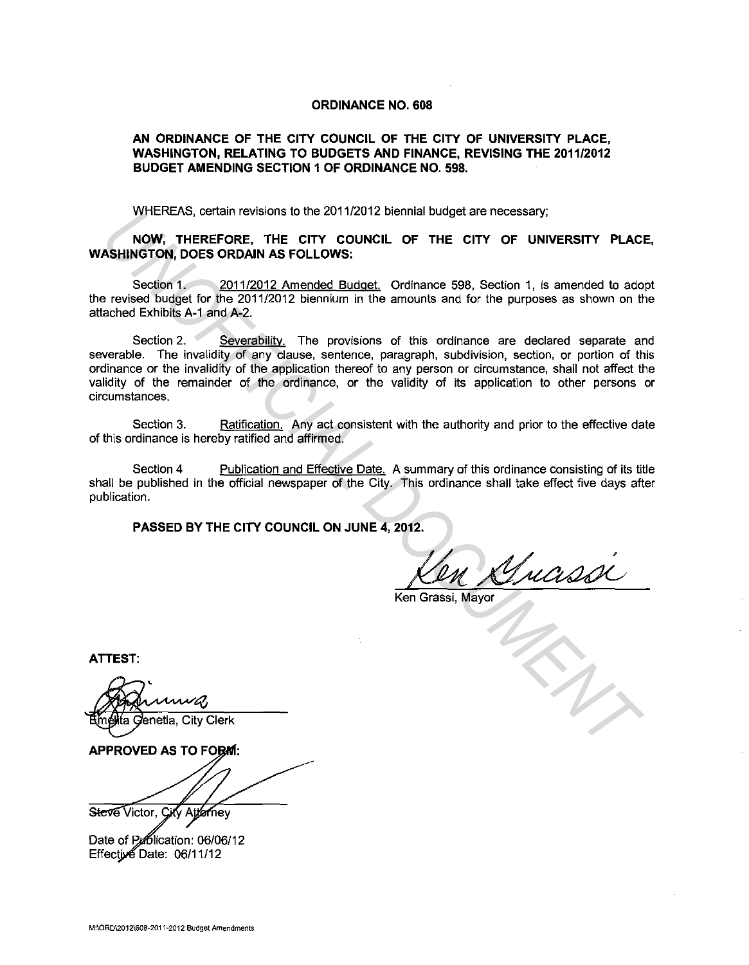## **ORDINANCE NO. 608**

## **AN ORDINANCE OF THE CITY COUNCIL OF THE CITY OF UNIVERSITY PLACE, WASHINGTON, RELATING TO BUDGETS AND FINANCE, REVISING THE 2011/2012 BUDGET AMENDING SECTION 1 OF ORDINANCE NO. 598.**

WHEREAS, certain revisions to the 2011/2012 biennial budget are necessary;

**NOW, THEREFORE, THE CITY COUNCIL OF THE CITY OF UNIVERSITY PLACE, WASHINGTON, DOES ORDAIN AS FOLLOWS:** 

Section 1. 2011/2012 Amended Budget. Ordinance 598, Section 1, is amended to adopt the revised budget for the 2011/2012 biennium in the amounts and for the purposes as shown on the attached Exhibits A-1 and A-2.

Section 2. Severability. The provisions of this ordinance are declared separate and severable. The invalidity of any clause, sentence, paragraph, subdivision, section, or portion of this ordinance or the invalidity of the application thereof to any person or circumstance, shall not affect the validity of the remainder of the ordinance, or the validity of its application to other persons or circumstances. White Heats Certain revisions to the 2011/2012 bennai budget are nocessary;<br> **NOW, THEREFORE, THE CITY OF UNIVERSITY PLACE**<br> **NOW, THEREFORE, THE CITY OF UNIVERSITY PLACE**<br>
Section 1. <u>2011/2012 Amended Budget</u>, Ordinance

Section 3. Ratification. Any act consistent with the authority and prior to the effective date of this ordinance is hereby ratified and affirmed.

Section 4 Publication and Effective Date. A summary of this ordinance consisting of its title shall be published in the official newspaper of the City. This ordinance shall take effect five days after publication.

**PASSED BY THE CITY COUNCIL ON JUNE 4, 2012.** 

Ken Grassi, Mayor

**ATTEST:** 

Steve Victor, City Attorney

Date of Publication: 06/06/12 Effective Date:  $06/11/12$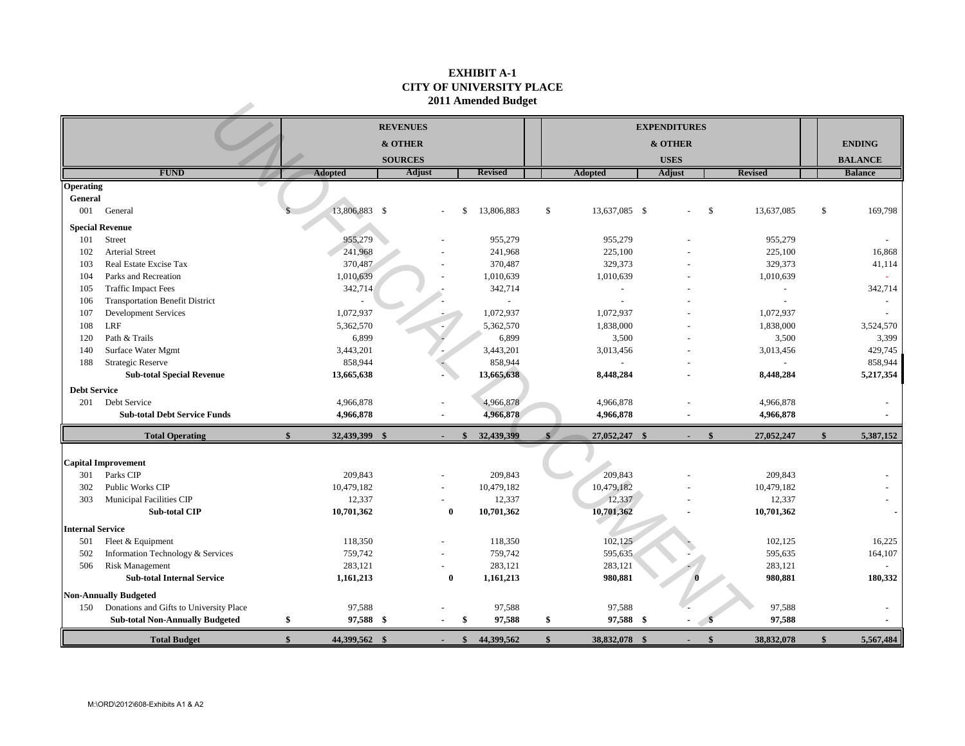## **EXHIBIT A-1 CITY OF UNIVERSITY PLACE 2011 Amended Budget**

| <b>FUND</b><br><b>Arterial Street</b><br>Real Estate Excise Tax<br>Parks and Recreation<br><b>Traffic Impact Fees</b><br><b>Transportation Benefit District</b><br><b>Development Services</b><br>Path & Trails<br>Surface Water Mgmt<br><b>Strategic Reserve</b><br><b>Sub-total Special Revenue</b><br>201 Debt Service | <b>Adopted</b><br>13,806,883 \$<br>955,279<br>241,968<br>370,487<br>1,010,639<br>342,714<br>1,072,937<br>5,362,570<br>6,899<br>3,443,201<br>858,944<br>13,665,638 | <b>REVENUES</b><br>& OTHER<br><b>SOURCES</b><br><b>Adjust</b> | S                          | <b>Revised</b><br>13,806,883<br>955,279<br>241,968<br>370,487<br>1,010,639<br>342,714<br>$\omega$<br>1,072,937<br>5,362,570<br>6,899<br>3,443,201 | \$                                 | <b>Adopted</b><br>13,637,085 \$<br>955,279<br>225,100<br>329,373<br>1,010,639<br>$\sim$<br>$\sim$<br>1,072,937<br>1,838,000<br>3,500 | <b>EXPENDITURES</b><br>& OTHER<br><b>USES</b><br><b>Adjust</b> | \$                         | <b>Revised</b><br>13,637,085<br>955,279<br>225,100<br>329,373<br>1,010,639<br>$\omega$<br>$\blacksquare$<br>1,072,937<br>1,838,000 | \$                                 | <b>ENDING</b><br><b>BALANCE</b><br><b>Balance</b><br>169,798<br>16,868<br>41,114<br>342,714<br>3,524,570 |
|---------------------------------------------------------------------------------------------------------------------------------------------------------------------------------------------------------------------------------------------------------------------------------------------------------------------------|-------------------------------------------------------------------------------------------------------------------------------------------------------------------|---------------------------------------------------------------|----------------------------|---------------------------------------------------------------------------------------------------------------------------------------------------|------------------------------------|--------------------------------------------------------------------------------------------------------------------------------------|----------------------------------------------------------------|----------------------------|------------------------------------------------------------------------------------------------------------------------------------|------------------------------------|----------------------------------------------------------------------------------------------------------|
|                                                                                                                                                                                                                                                                                                                           |                                                                                                                                                                   |                                                               |                            |                                                                                                                                                   |                                    |                                                                                                                                      |                                                                |                            |                                                                                                                                    |                                    |                                                                                                          |
|                                                                                                                                                                                                                                                                                                                           |                                                                                                                                                                   |                                                               |                            |                                                                                                                                                   |                                    |                                                                                                                                      |                                                                |                            |                                                                                                                                    |                                    |                                                                                                          |
|                                                                                                                                                                                                                                                                                                                           |                                                                                                                                                                   |                                                               |                            |                                                                                                                                                   |                                    |                                                                                                                                      |                                                                |                            |                                                                                                                                    |                                    |                                                                                                          |
|                                                                                                                                                                                                                                                                                                                           |                                                                                                                                                                   |                                                               |                            |                                                                                                                                                   |                                    |                                                                                                                                      |                                                                |                            |                                                                                                                                    |                                    |                                                                                                          |
|                                                                                                                                                                                                                                                                                                                           |                                                                                                                                                                   |                                                               |                            |                                                                                                                                                   |                                    |                                                                                                                                      |                                                                |                            |                                                                                                                                    |                                    |                                                                                                          |
|                                                                                                                                                                                                                                                                                                                           |                                                                                                                                                                   |                                                               |                            |                                                                                                                                                   |                                    |                                                                                                                                      |                                                                |                            |                                                                                                                                    |                                    |                                                                                                          |
|                                                                                                                                                                                                                                                                                                                           |                                                                                                                                                                   |                                                               |                            |                                                                                                                                                   |                                    |                                                                                                                                      |                                                                |                            |                                                                                                                                    |                                    |                                                                                                          |
|                                                                                                                                                                                                                                                                                                                           |                                                                                                                                                                   |                                                               |                            |                                                                                                                                                   |                                    |                                                                                                                                      |                                                                |                            |                                                                                                                                    |                                    |                                                                                                          |
|                                                                                                                                                                                                                                                                                                                           |                                                                                                                                                                   |                                                               |                            |                                                                                                                                                   |                                    |                                                                                                                                      |                                                                |                            |                                                                                                                                    |                                    |                                                                                                          |
|                                                                                                                                                                                                                                                                                                                           |                                                                                                                                                                   |                                                               |                            |                                                                                                                                                   |                                    |                                                                                                                                      |                                                                |                            |                                                                                                                                    |                                    |                                                                                                          |
|                                                                                                                                                                                                                                                                                                                           |                                                                                                                                                                   |                                                               |                            |                                                                                                                                                   |                                    |                                                                                                                                      |                                                                |                            |                                                                                                                                    |                                    |                                                                                                          |
|                                                                                                                                                                                                                                                                                                                           |                                                                                                                                                                   |                                                               |                            |                                                                                                                                                   |                                    |                                                                                                                                      |                                                                |                            |                                                                                                                                    |                                    |                                                                                                          |
|                                                                                                                                                                                                                                                                                                                           |                                                                                                                                                                   |                                                               |                            |                                                                                                                                                   |                                    |                                                                                                                                      |                                                                |                            |                                                                                                                                    |                                    |                                                                                                          |
|                                                                                                                                                                                                                                                                                                                           |                                                                                                                                                                   |                                                               |                            |                                                                                                                                                   |                                    |                                                                                                                                      |                                                                |                            |                                                                                                                                    |                                    |                                                                                                          |
|                                                                                                                                                                                                                                                                                                                           |                                                                                                                                                                   |                                                               |                            |                                                                                                                                                   |                                    |                                                                                                                                      |                                                                |                            |                                                                                                                                    |                                    |                                                                                                          |
|                                                                                                                                                                                                                                                                                                                           |                                                                                                                                                                   |                                                               |                            |                                                                                                                                                   |                                    |                                                                                                                                      |                                                                |                            |                                                                                                                                    |                                    |                                                                                                          |
|                                                                                                                                                                                                                                                                                                                           |                                                                                                                                                                   |                                                               |                            |                                                                                                                                                   |                                    |                                                                                                                                      |                                                                |                            | 3,500                                                                                                                              |                                    | 3,399                                                                                                    |
|                                                                                                                                                                                                                                                                                                                           |                                                                                                                                                                   |                                                               |                            |                                                                                                                                                   |                                    | 3,013,456                                                                                                                            |                                                                |                            | 3,013,456                                                                                                                          |                                    | 429,745                                                                                                  |
|                                                                                                                                                                                                                                                                                                                           |                                                                                                                                                                   |                                                               |                            | 858,944                                                                                                                                           |                                    | $\sim$                                                                                                                               |                                                                |                            |                                                                                                                                    |                                    | 858,944                                                                                                  |
|                                                                                                                                                                                                                                                                                                                           |                                                                                                                                                                   |                                                               |                            | 13,665,638                                                                                                                                        |                                    | 8,448,284                                                                                                                            |                                                                |                            | 8,448,284                                                                                                                          |                                    | 5,217,354                                                                                                |
|                                                                                                                                                                                                                                                                                                                           |                                                                                                                                                                   |                                                               |                            |                                                                                                                                                   |                                    |                                                                                                                                      |                                                                |                            |                                                                                                                                    |                                    |                                                                                                          |
|                                                                                                                                                                                                                                                                                                                           | 4,966,878                                                                                                                                                         |                                                               |                            | 4,966,878                                                                                                                                         |                                    | 4,966,878                                                                                                                            |                                                                |                            | 4,966,878                                                                                                                          |                                    |                                                                                                          |
| <b>Sub-total Debt Service Funds</b>                                                                                                                                                                                                                                                                                       | 4,966,878                                                                                                                                                         |                                                               |                            | 4,966,878                                                                                                                                         |                                    | 4,966,878                                                                                                                            |                                                                |                            | 4,966,878                                                                                                                          |                                    |                                                                                                          |
| <b>Total Operating</b>                                                                                                                                                                                                                                                                                                    | $\hat{\mathbf{s}}$<br>32,439,399 \$                                                                                                                               |                                                               | $\mathbf{s}$               | 32,439,399                                                                                                                                        | $\ast$                             | 27,052,247 \$                                                                                                                        |                                                                | $\mathbf{\$}$              | 27,052,247                                                                                                                         | $\mathbf{\$}$                      | 5,387,152                                                                                                |
|                                                                                                                                                                                                                                                                                                                           |                                                                                                                                                                   |                                                               |                            |                                                                                                                                                   |                                    |                                                                                                                                      |                                                                |                            |                                                                                                                                    |                                    |                                                                                                          |
| <b>Capital Improvement</b>                                                                                                                                                                                                                                                                                                |                                                                                                                                                                   |                                                               |                            |                                                                                                                                                   |                                    |                                                                                                                                      |                                                                |                            |                                                                                                                                    |                                    |                                                                                                          |
|                                                                                                                                                                                                                                                                                                                           | 209,843                                                                                                                                                           |                                                               |                            | 209,843                                                                                                                                           |                                    | 209,843                                                                                                                              |                                                                |                            | 209,843                                                                                                                            |                                    |                                                                                                          |
| Public Works CIP                                                                                                                                                                                                                                                                                                          |                                                                                                                                                                   |                                                               |                            |                                                                                                                                                   |                                    |                                                                                                                                      |                                                                |                            |                                                                                                                                    |                                    |                                                                                                          |
|                                                                                                                                                                                                                                                                                                                           |                                                                                                                                                                   |                                                               |                            |                                                                                                                                                   |                                    |                                                                                                                                      |                                                                |                            |                                                                                                                                    |                                    |                                                                                                          |
|                                                                                                                                                                                                                                                                                                                           |                                                                                                                                                                   |                                                               |                            |                                                                                                                                                   |                                    |                                                                                                                                      |                                                                |                            |                                                                                                                                    |                                    |                                                                                                          |
|                                                                                                                                                                                                                                                                                                                           |                                                                                                                                                                   |                                                               |                            |                                                                                                                                                   |                                    |                                                                                                                                      |                                                                |                            |                                                                                                                                    |                                    |                                                                                                          |
| Fleet & Equipment                                                                                                                                                                                                                                                                                                         | 118,350                                                                                                                                                           |                                                               |                            | 118,350                                                                                                                                           |                                    | 102,125                                                                                                                              |                                                                |                            | 102,125                                                                                                                            |                                    | 16,225                                                                                                   |
| Information Technology & Services                                                                                                                                                                                                                                                                                         | 759,742                                                                                                                                                           |                                                               |                            | 759,742                                                                                                                                           |                                    | 595,635                                                                                                                              |                                                                |                            | 595,635                                                                                                                            |                                    | 164,107                                                                                                  |
| Risk Management                                                                                                                                                                                                                                                                                                           | 283,121                                                                                                                                                           |                                                               |                            | 283,121                                                                                                                                           |                                    | 283,121                                                                                                                              |                                                                |                            | 283,121                                                                                                                            |                                    |                                                                                                          |
| <b>Sub-total Internal Service</b>                                                                                                                                                                                                                                                                                         | 1,161,213                                                                                                                                                         |                                                               | $\bf{0}$                   | 1,161,213                                                                                                                                         |                                    | 980,881                                                                                                                              |                                                                |                            | 980,881                                                                                                                            |                                    | 180,332                                                                                                  |
| <b>Non-Annually Budgeted</b>                                                                                                                                                                                                                                                                                              |                                                                                                                                                                   |                                                               |                            |                                                                                                                                                   |                                    |                                                                                                                                      |                                                                |                            |                                                                                                                                    |                                    |                                                                                                          |
| 150 Donations and Gifts to University Place                                                                                                                                                                                                                                                                               | 97,588                                                                                                                                                            |                                                               |                            | 97,588                                                                                                                                            |                                    | 97,588                                                                                                                               |                                                                |                            | 97,588                                                                                                                             |                                    |                                                                                                          |
| <b>Sub-total Non-Annually Budgeted</b>                                                                                                                                                                                                                                                                                    | \$                                                                                                                                                                |                                                               | \$                         | 97,588                                                                                                                                            | \$                                 |                                                                                                                                      |                                                                |                            | 97,588                                                                                                                             |                                    |                                                                                                          |
| <b>Total Budget</b>                                                                                                                                                                                                                                                                                                       | $\mathbf{s}$                                                                                                                                                      |                                                               | $\mathbf{s}$               | 44,399,562                                                                                                                                        | $\mathbf{s}$                       |                                                                                                                                      |                                                                | $\mathbf{\$}$              | 38,832,078                                                                                                                         | $\mathbf{\$}$                      | 5,567,484                                                                                                |
|                                                                                                                                                                                                                                                                                                                           | Municipal Facilities CIP<br><b>Sub-total CIP</b>                                                                                                                  | 10,479,182<br>12,337<br>10,701,362                            | 97,588 \$<br>44,399,562 \$ | $\bf{0}$                                                                                                                                          | 10,479,182<br>12,337<br>10,701,362 |                                                                                                                                      | 10,479,182<br>12,337<br>10,701,362                             | 97,588 \$<br>38,832,078 \$ |                                                                                                                                    | 10,479,182<br>12,337<br>10,701,362 |                                                                                                          |